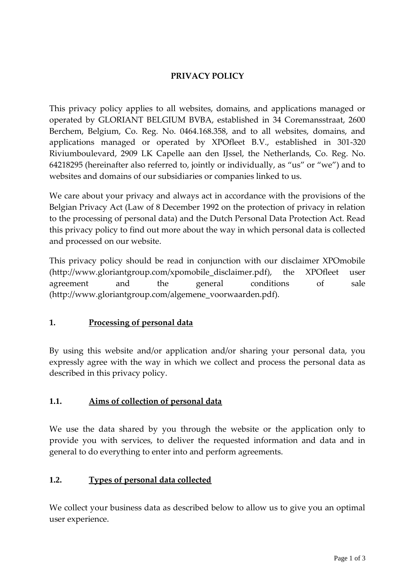# **PRIVACY POLICY**

This privacy policy applies to all websites, domains, and applications managed or operated by GLORIANT BELGIUM BVBA, established in 34 Coremansstraat, 2600 Berchem, Belgium, Co. Reg. No. 0464.168.358, and to all websites, domains, and applications managed or operated by XPOfleet B.V., established in 301-320 Riviumboulevard, 2909 LK Capelle aan den IJssel, the Netherlands, Co. Reg. No. 64218295 (hereinafter also referred to, jointly or individually, as "us" or "we") and to websites and domains of our subsidiaries or companies linked to us.

We care about your privacy and always act in accordance with the provisions of the Belgian Privacy Act (Law of 8 December 1992 on the protection of privacy in relation to the processing of personal data) and the Dutch Personal Data Protection Act. Read this privacy policy to find out more about the way in which personal data is collected and processed on our website.

This privacy policy should be read in conjunction with our disclaimer XPOmobile (http://www.gloriantgroup.com/xpomobile\_disclaimer.pdf), the XPOfleet user agreement and the general conditions of sale (http://www.gloriantgroup.com/algemene\_voorwaarden.pdf).

## **1. Processing of personal data**

By using this website and/or application and/or sharing your personal data, you expressly agree with the way in which we collect and process the personal data as described in this privacy policy.

## **1.1. Aims of collection of personal data**

We use the data shared by you through the website or the application only to provide you with services, to deliver the requested information and data and in general to do everything to enter into and perform agreements.

## **1.2. Types of personal data collected**

We collect your business data as described below to allow us to give you an optimal user experience.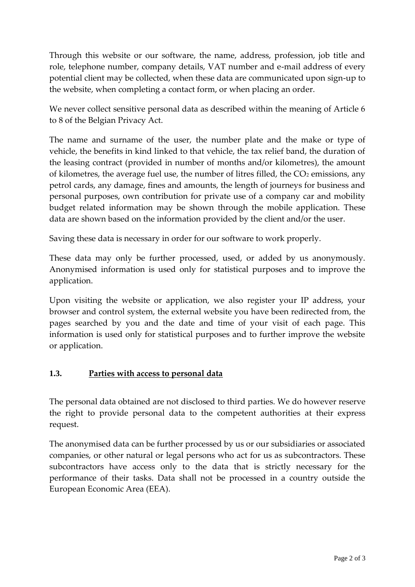Through this website or our software, the name, address, profession, job title and role, telephone number, company details, VAT number and e-mail address of every potential client may be collected, when these data are communicated upon sign-up to the website, when completing a contact form, or when placing an order.

We never collect sensitive personal data as described within the meaning of Article 6 to 8 of the Belgian Privacy Act.

The name and surname of the user, the number plate and the make or type of vehicle, the benefits in kind linked to that vehicle, the tax relief band, the duration of the leasing contract (provided in number of months and/or kilometres), the amount of kilometres, the average fuel use, the number of litres filled, the  $CO<sub>2</sub>$  emissions, any petrol cards, any damage, fines and amounts, the length of journeys for business and personal purposes, own contribution for private use of a company car and mobility budget related information may be shown through the mobile application. These data are shown based on the information provided by the client and/or the user.

Saving these data is necessary in order for our software to work properly.

These data may only be further processed, used, or added by us anonymously. Anonymised information is used only for statistical purposes and to improve the application.

Upon visiting the website or application, we also register your IP address, your browser and control system, the external website you have been redirected from, the pages searched by you and the date and time of your visit of each page. This information is used only for statistical purposes and to further improve the website or application.

## **1.3. Parties with access to personal data**

The personal data obtained are not disclosed to third parties. We do however reserve the right to provide personal data to the competent authorities at their express request.

The anonymised data can be further processed by us or our subsidiaries or associated companies, or other natural or legal persons who act for us as subcontractors. These subcontractors have access only to the data that is strictly necessary for the performance of their tasks. Data shall not be processed in a country outside the European Economic Area (EEA).